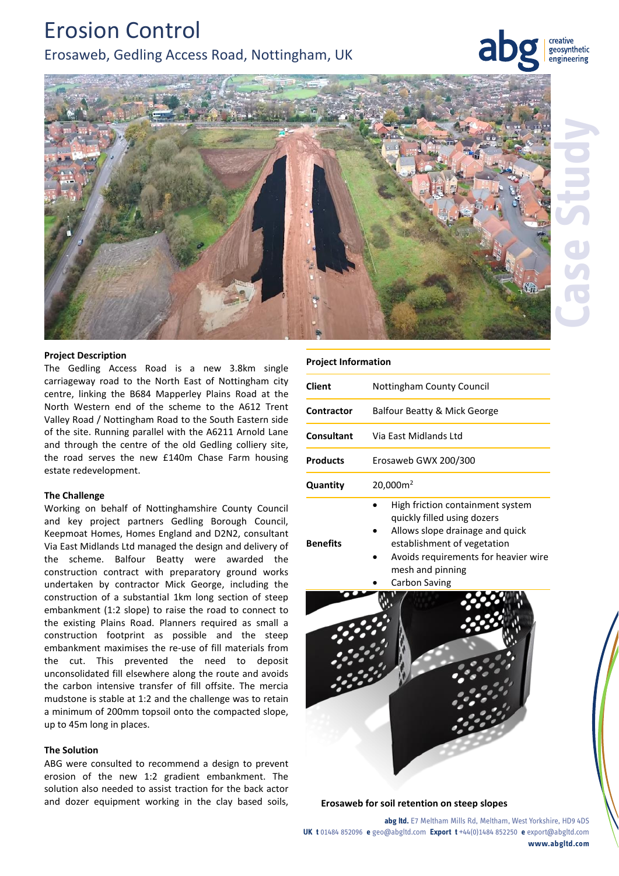# Erosion Control Erosaweb, Gedling Access Road, Nottingham, UK

creative geosynthetic engineering



#### **Project Description**

The Gedling Access Road is a new 3.8km single carriageway road to the North East of Nottingham city centre, linking the B684 Mapperley Plains Road at the North Western end of the scheme to the A612 Trent Valley Road / Nottingham Road to the South Eastern side of the site. Running parallel with the A6211 Arnold Lane and through the centre of the old Gedling colliery site, the road serves the new £140m Chase Farm housing estate redevelopment.

#### **The Challenge**

Working on behalf of Nottinghamshire County Council and key project partners Gedling Borough Council, Keepmoat Homes, Homes England and D2N2, consultant Via East Midlands Ltd managed the design and delivery of the scheme. Balfour Beatty were awarded the construction contract with preparatory ground works undertaken by contractor Mick George, including the construction of a substantial 1km long section of steep embankment (1:2 slope) to raise the road to connect to the existing Plains Road. Planners required as small a construction footprint as possible and the steep embankment maximises the re-use of fill materials from the cut. This prevented the need to deposit unconsolidated fill elsewhere along the route and avoids the carbon intensive transfer of fill offsite. The mercia mudstone is stable at 1:2 and the challenge was to retain a minimum of 200mm topsoil onto the compacted slope, up to 45m long in places.

### **The Solution**

ABG were consulted to recommend a design to prevent erosion of the new 1:2 gradient embankment. The solution also needed to assist traction for the back actor and dozer equipment working in the clay based soils, **Erosaweb for soil retention on steep slopes**

| <b>Project Information</b> |                                                                                                                                                                                                                       |
|----------------------------|-----------------------------------------------------------------------------------------------------------------------------------------------------------------------------------------------------------------------|
| Client                     | <b>Nottingham County Council</b>                                                                                                                                                                                      |
| Contractor                 | Balfour Beatty & Mick George                                                                                                                                                                                          |
| Consultant                 | Via East Midlands Ltd                                                                                                                                                                                                 |
| <b>Products</b>            | Erosaweb GWX 200/300                                                                                                                                                                                                  |
| Quantity                   | 20,000m <sup>2</sup>                                                                                                                                                                                                  |
| <b>Benefits</b>            | High friction containment system<br>quickly filled using dozers<br>Allows slope drainage and quick<br>establishment of vegetation<br>Avoids requirements for heavier wire<br>mesh and pinning<br><b>Carbon Saving</b> |
|                            |                                                                                                                                                                                                                       |

**abg ltd.** E7 Meltham Mills Rd, Meltham, West Yorkshire, HD9 4DS **UK t** 01484 852096 **e** geo@abgltd.com **Export t** +44(0)1484 852250 **e** export@abgltd.com **www.abgltd.com**